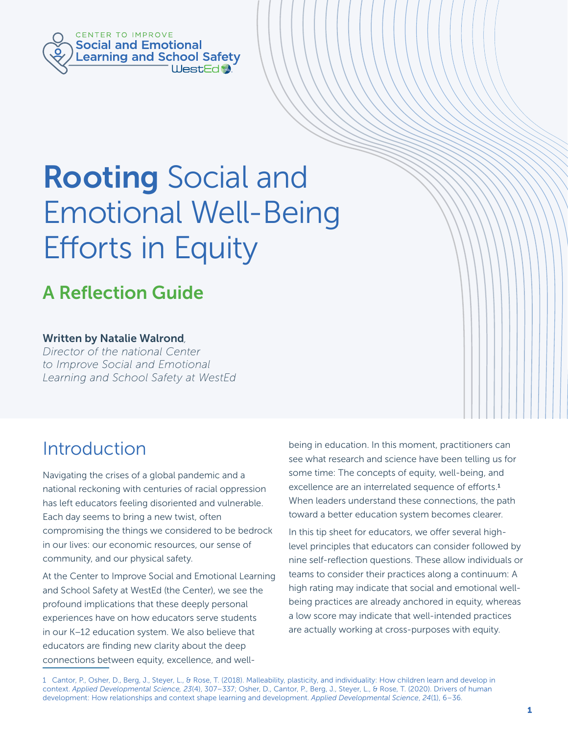

# Rooting Social and Emotional Well-Being Efforts in Equity

# A Reflection Guide

#### Written by Natalie Walrond*,*

*Director of the national Center to Improve Social and Emotional Learning and School Safety at WestEd*

# Introduction

Navigating the crises of a global pandemic and a national reckoning with centuries of racial oppression has left educators feeling disoriented and vulnerable. Each day seems to bring a new twist, often compromising the things we considered to be bedrock in our lives: our economic resources, our sense of community, and our physical safety.

At the Center to Improve Social and Emotional Learning and School Safety at WestEd (the Center), we see the profound implications that these deeply personal experiences have on how educators serve students in our K–12 education system. We also believe that educators are finding new clarity about the deep connections between equity, excellence, and well-

being in education. In this moment, practitioners can see what research and science have been telling us for some time: The concepts of equity, well-being, and excellence are an interrelated sequence of efforts.<sup>1</sup> When leaders understand these connections, the path toward a better education system becomes clearer.

In this tip sheet for educators, we offer several highlevel principles that educators can consider followed by nine self-reflection questions. These allow individuals or teams to consider their practices along a continuum: A high rating may indicate that social and emotional wellbeing practices are already anchored in equity, whereas a low score may indicate that well-intended practices are actually working at cross-purposes with equity.

1 Cantor, P., Osher, D., Berg, J., Steyer, L., & Rose, T. (2018). Malleability, plasticity, and individuality: How children learn and develop in context. *Applied Developmental Science, 23*(4), 307–337; Osher, D., Cantor, P., Berg, J., Steyer, L., & Rose, T. (2020). Drivers of human development: How relationships and context shape learning and development. *Applied Developmental Science*, *24*(1), 6–36.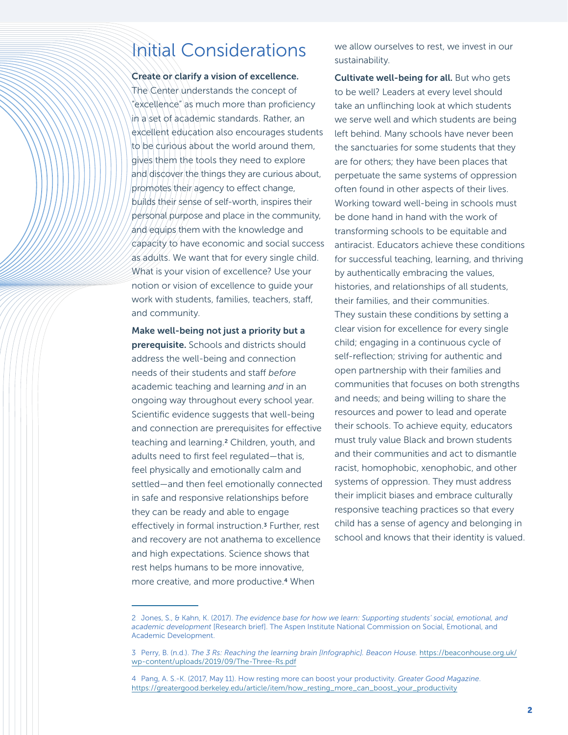# Initial Considerations

#### Create or clarify a vision of excellence.

The Center understands the concept of "excellence" as much more than proficiency in a set of academic standards. Rather, an excellent education also encourages students to be curious about the world around them, gives them the tools they need to explore and discover the things they are curious about, promotes their agency to effect change, builds their sense of self-worth, inspires their personal purpose and place in the community, and equips them with the knowledge and capacity to have economic and social success as adults. We want that for every single child. What is your vision of excellence? Use your notion or vision of excellence to guide your work with students, families, teachers, staff, and community.

Make well-being not just a priority but a prerequisite. Schools and districts should address the well-being and connection needs of their students and staff *before*  academic teaching and learning *and* in an ongoing way throughout every school year. Scientific evidence suggests that well-being and connection are prerequisites for effective teaching and learning.2 Children, youth, and adults need to first feel regulated—that is, feel physically and emotionally calm and settled—and then feel emotionally connected in safe and responsive relationships before they can be ready and able to engage effectively in formal instruction.3 Further, rest and recovery are not anathema to excellence and high expectations. Science shows that rest helps humans to be more innovative, more creative, and more productive.4 When

we allow ourselves to rest, we invest in our sustainability.

Cultivate well-being for all. But who gets to be well? Leaders at every level should take an unflinching look at which students we serve well and which students are being left behind. Many schools have never been the sanctuaries for some students that they are for others; they have been places that perpetuate the same systems of oppression often found in other aspects of their lives. Working toward well-being in schools must be done hand in hand with the work of transforming schools to be equitable and antiracist. Educators achieve these conditions for successful teaching, learning, and thriving by authentically embracing the values, histories, and relationships of all students, their families, and their communities. They sustain these conditions by setting a clear vision for excellence for every single child; engaging in a continuous cycle of self-reflection; striving for authentic and open partnership with their families and communities that focuses on both strengths and needs; and being willing to share the resources and power to lead and operate their schools. To achieve equity, educators must truly value Black and brown students and their communities and act to dismantle racist, homophobic, xenophobic, and other systems of oppression. They must address their implicit biases and embrace culturally responsive teaching practices so that every child has a sense of agency and belonging in school and knows that their identity is valued.

<sup>2</sup> Jones, S., & Kahn, K. (2017). *The evidence base for how we learn: Supporting students' social, emotional, and academic development* [Research brief]. The Aspen Institute National Commission on Social, Emotional, and Academic Development.

<sup>3</sup> Perry, B. (n.d.). *The 3 Rs: Reaching the learning brain [Infographic]. Beacon House.* [https://beaconhouse.org.uk/](https://beaconhouse.org.uk/wp-content/uploads/2019/09/The-Three-Rs.pdf) [wp-content/uploads/2019/09/The-Three-Rs.pdf](https://beaconhouse.org.uk/wp-content/uploads/2019/09/The-Three-Rs.pdf)

<sup>4</sup> Pang, A. S.-K. (2017, May 11). How resting more can boost your productivity. *Greater Good Magazine*. [https://greatergood.berkeley.edu/article/item/how\\_resting\\_more\\_can\\_boost\\_your\\_productivity](https://greatergood.berkeley.edu/article/item/how_resting_more_can_boost_your_productivity)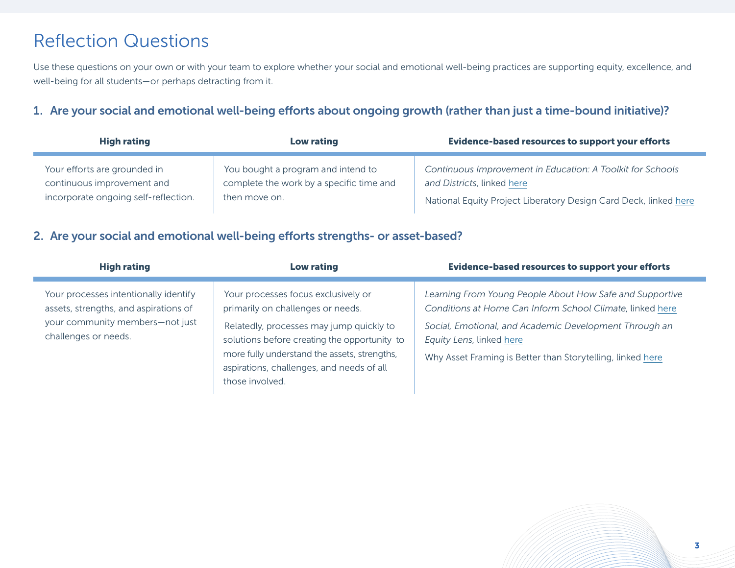# Reflection Questions

Use these questions on your own or with your team to explore whether your social and emotional well-being practices are supporting equity, excellence, and well-being for all students—or perhaps detracting from it.

#### 1. Are your social and emotional well-being efforts about ongoing growth (rather than just a time-bound initiative)?

| <b>High rating</b>                   | Low rating                               | <b>Evidence-based resources to support your efforts</b>          |
|--------------------------------------|------------------------------------------|------------------------------------------------------------------|
| Your efforts are grounded in         | You bought a program and intend to       | Continuous Improvement in Education: A Toolkit for Schools       |
| continuous improvement and           | complete the work by a specific time and | and Districts, linked here                                       |
| incorporate ongoing self-reflection. | then move on.                            | National Equity Project Liberatory Design Card Deck, linked here |

### 2. Are your social and emotional well-being efforts strengths- or asset-based?

| <b>High rating</b>                                                                                                                        | Low rating                                                                                                                                                                                                                                                                           | <b>Evidence-based resources to support your efforts</b>                                                                                                                                                                                                                   |
|-------------------------------------------------------------------------------------------------------------------------------------------|--------------------------------------------------------------------------------------------------------------------------------------------------------------------------------------------------------------------------------------------------------------------------------------|---------------------------------------------------------------------------------------------------------------------------------------------------------------------------------------------------------------------------------------------------------------------------|
| Your processes intentionally identify<br>assets, strengths, and aspirations of<br>your community members-not just<br>challenges or needs. | Your processes focus exclusively or<br>primarily on challenges or needs.<br>Relatedly, processes may jump quickly to<br>solutions before creating the opportunity to<br>more fully understand the assets, strengths,<br>aspirations, challenges, and needs of all<br>those involved. | Learning From Young People About How Safe and Supportive<br>Conditions at Home Can Inform School Climate, linked here<br>Social, Emotional, and Academic Development Through an<br>Equity Lens, linked here<br>Why Asset Framing is Better than Storytelling, linked here |

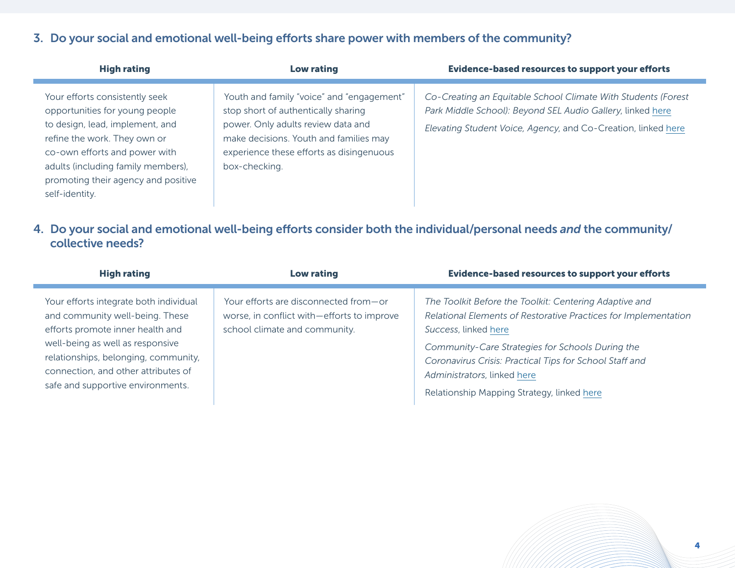# 3. Do your social and emotional well-being efforts share power with members of the community?

| <b>High rating</b>                                                                                                                                                                                                                                                  | Low rating                                                                                                                                                                                                                    | <b>Evidence-based resources to support your efforts</b>                                                                                                                                      |
|---------------------------------------------------------------------------------------------------------------------------------------------------------------------------------------------------------------------------------------------------------------------|-------------------------------------------------------------------------------------------------------------------------------------------------------------------------------------------------------------------------------|----------------------------------------------------------------------------------------------------------------------------------------------------------------------------------------------|
| Your efforts consistently seek<br>opportunities for young people<br>to design, lead, implement, and<br>refine the work. They own or<br>co-own efforts and power with<br>adults (including family members),<br>promoting their agency and positive<br>self-identity. | Youth and family "voice" and "engagement"<br>stop short of authentically sharing<br>power. Only adults review data and<br>make decisions. Youth and families may<br>experience these efforts as disingenuous<br>box-checking. | Co-Creating an Equitable School Climate With Students (Forest<br>Park Middle School): Beyond SEL Audio Gallery, linked here<br>Elevating Student Voice, Agency, and Co-Creation, linked here |

#### 4. Do your social and emotional well-being efforts consider both the individual/personal needs *and* the community/ collective needs?

| <b>High rating</b>                                                                                                                                                                                                                                                    | <b>Low rating</b>                                                                                                    | <b>Evidence-based resources to support your efforts</b>                                                                                                                                                                                                                                                                                       |
|-----------------------------------------------------------------------------------------------------------------------------------------------------------------------------------------------------------------------------------------------------------------------|----------------------------------------------------------------------------------------------------------------------|-----------------------------------------------------------------------------------------------------------------------------------------------------------------------------------------------------------------------------------------------------------------------------------------------------------------------------------------------|
| Your efforts integrate both individual<br>and community well-being. These<br>efforts promote inner health and<br>well-being as well as responsive<br>relationships, belonging, community,<br>connection, and other attributes of<br>safe and supportive environments. | Your efforts are disconnected from-or<br>worse, in conflict with-efforts to improve<br>school climate and community. | The Toolkit Before the Toolkit: Centering Adaptive and<br>Relational Elements of Restorative Practices for Implementation<br>Success, linked here<br>Community-Care Strategies for Schools During the<br>Coronavirus Crisis: Practical Tips for School Staff and<br>Administrators, linked here<br>Relationship Mapping Strategy, linked here |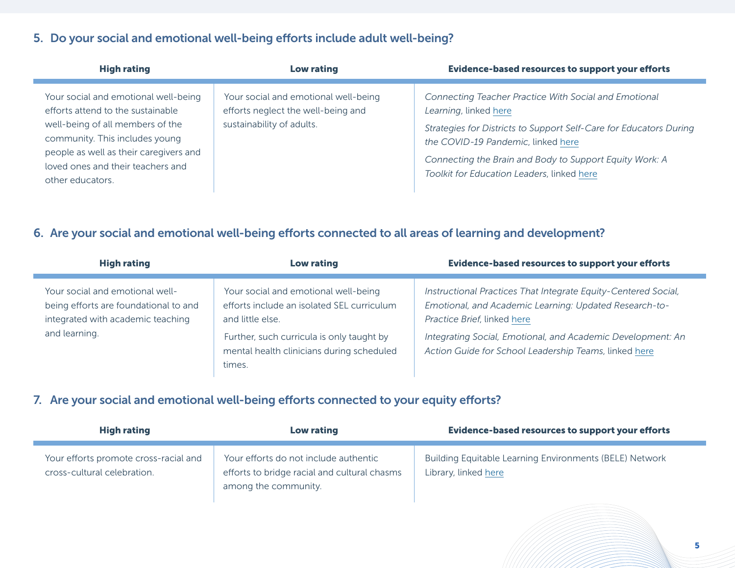# 5. Do your social and emotional well-being efforts include adult well-being?

| <b>High rating</b>                                                                                                                                                                                                                                 | Low rating                                                                                              | <b>Evidence-based resources to support your efforts</b>                                                                                                                                                                                                                                             |
|----------------------------------------------------------------------------------------------------------------------------------------------------------------------------------------------------------------------------------------------------|---------------------------------------------------------------------------------------------------------|-----------------------------------------------------------------------------------------------------------------------------------------------------------------------------------------------------------------------------------------------------------------------------------------------------|
| Your social and emotional well-being<br>efforts attend to the sustainable<br>well-being of all members of the<br>community. This includes young<br>people as well as their caregivers and<br>loved ones and their teachers and<br>other educators. | Your social and emotional well-being<br>efforts neglect the well-being and<br>sustainability of adults. | Connecting Teacher Practice With Social and Emotional<br>Learning, linked here<br>Strategies for Districts to Support Self-Care for Educators During<br>the COVID-19 Pandemic, linked here<br>Connecting the Brain and Body to Support Equity Work: A<br>Toolkit for Education Leaders, linked here |

## 6. Are your social and emotional well-being efforts connected to all areas of learning and development?

| <b>High rating</b>                                                                                                             | Low rating                                                                                                                                                                                                 | <b>Evidence-based resources to support your efforts</b>                                                                                                                                                                                                                         |
|--------------------------------------------------------------------------------------------------------------------------------|------------------------------------------------------------------------------------------------------------------------------------------------------------------------------------------------------------|---------------------------------------------------------------------------------------------------------------------------------------------------------------------------------------------------------------------------------------------------------------------------------|
| Your social and emotional well-<br>being efforts are foundational to and<br>integrated with academic teaching<br>and learning. | Your social and emotional well-being<br>efforts include an isolated SEL curriculum<br>and little else.<br>Further, such curricula is only taught by<br>mental health clinicians during scheduled<br>times. | Instructional Practices That Integrate Equity-Centered Social,<br>Emotional, and Academic Learning: Updated Research-to-<br>Practice Brief, linked here<br>Integrating Social, Emotional, and Academic Development: An<br>Action Guide for School Leadership Teams, linked here |

## 7. Are your social and emotional well-being efforts connected to your equity efforts?

| <b>High rating</b>                                                   | Low rating                                                                                                    | Evidence-based resources to support your efforts                                |
|----------------------------------------------------------------------|---------------------------------------------------------------------------------------------------------------|---------------------------------------------------------------------------------|
| Your efforts promote cross-racial and<br>cross-cultural celebration. | Your efforts do not include authentic<br>efforts to bridge racial and cultural chasms<br>among the community. | Building Equitable Learning Environments (BELE) Network<br>Library, linked here |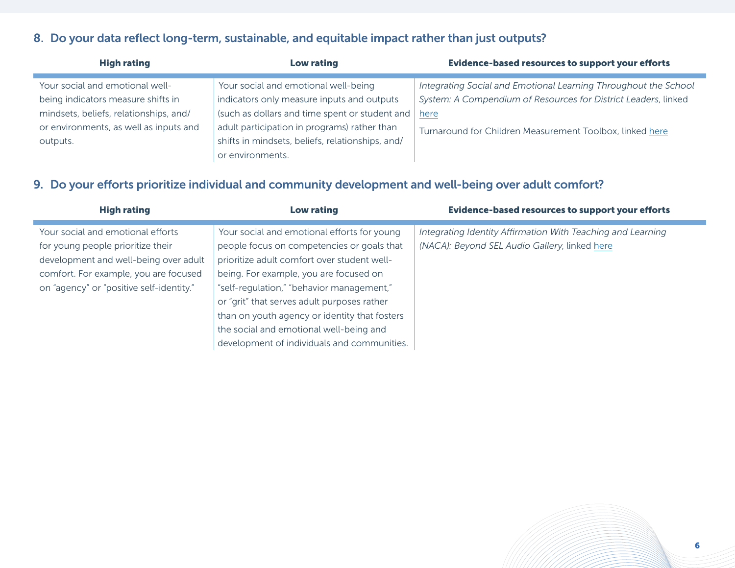# 8. Do your data reflect long-term, sustainable, and equitable impact rather than just outputs?

| <b>High rating</b>                     | <b>Low rating</b>                                | <b>Evidence-based resources to support your efforts</b>         |
|----------------------------------------|--------------------------------------------------|-----------------------------------------------------------------|
| Your social and emotional well-        | Your social and emotional well-being             | Integrating Social and Emotional Learning Throughout the School |
| being indicators measure shifts in     | indicators only measure inputs and outputs       | System: A Compendium of Resources for District Leaders, linked  |
| mindsets, beliefs, relationships, and/ | (such as dollars and time spent or student and   | here                                                            |
| or environments, as well as inputs and | adult participation in programs) rather than     | Turnaround for Children Measurement Toolbox, linked here        |
| outputs.                               | shifts in mindsets, beliefs, relationships, and/ |                                                                 |
|                                        | or environments.                                 |                                                                 |

## 9. Do your efforts prioritize individual and community development and well-being over adult comfort?

| <b>High rating</b>                                                                                                                                                                                   | Low rating                                                                                                                                                                                                                                                                                                                      | <b>Evidence-based resources to support your efforts</b>                                                      |
|------------------------------------------------------------------------------------------------------------------------------------------------------------------------------------------------------|---------------------------------------------------------------------------------------------------------------------------------------------------------------------------------------------------------------------------------------------------------------------------------------------------------------------------------|--------------------------------------------------------------------------------------------------------------|
| Your social and emotional efforts<br>for young people prioritize their<br>development and well-being over adult<br>comfort. For example, you are focused<br>on "agency" or "positive self-identity." | Your social and emotional efforts for young<br>people focus on competencies or goals that<br>prioritize adult comfort over student well-<br>being. For example, you are focused on<br>"self-regulation," "behavior management,"<br>or "grit" that serves adult purposes rather<br>than on youth agency or identity that fosters | Integrating Identity Affirmation With Teaching and Learning<br>(NACA): Beyond SEL Audio Gallery, linked here |
|                                                                                                                                                                                                      | the social and emotional well-being and<br>development of individuals and communities.                                                                                                                                                                                                                                          |                                                                                                              |